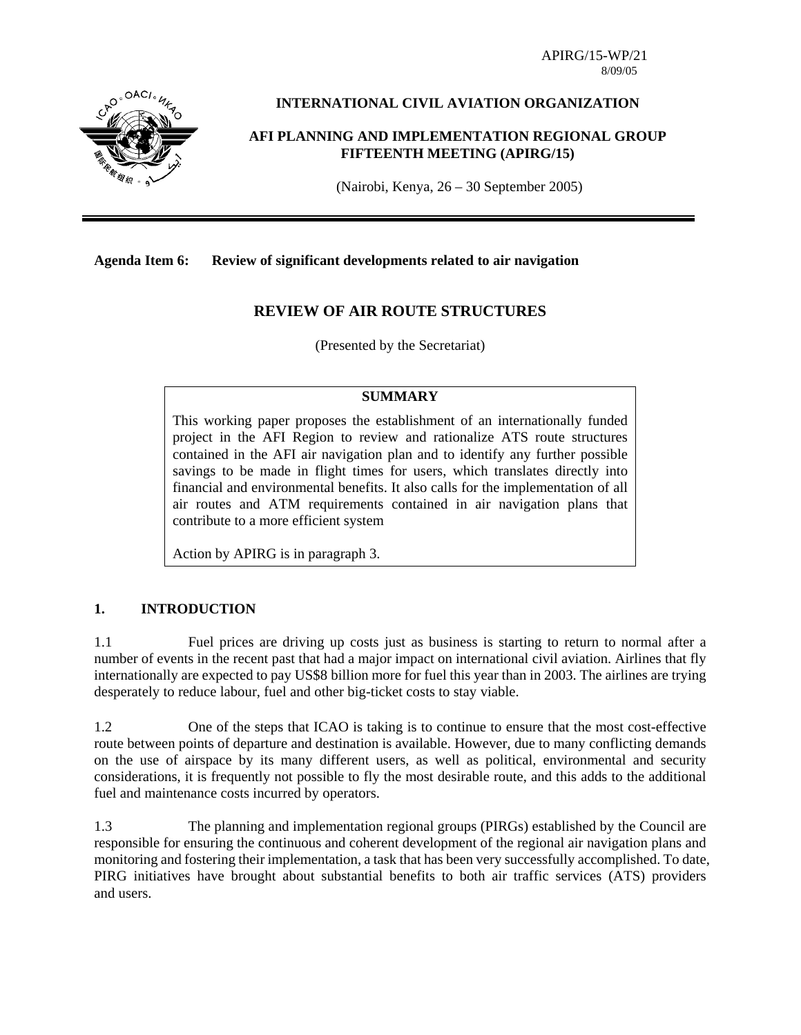APIRG/15-WP/21 8/09/05



# **INTERNATIONAL CIVIL AVIATION ORGANIZATION**

#### **AFI PLANNING AND IMPLEMENTATION REGIONAL GROUP FIFTEENTH MEETING (APIRG/15)**

(Nairobi, Kenya, 26 – 30 September 2005)

#### **Agenda Item 6: Review of significant developments related to air navigation**

# **REVIEW OF AIR ROUTE STRUCTURES**

(Presented by the Secretariat)

## **SUMMARY**

This working paper proposes the establishment of an internationally funded project in the AFI Region to review and rationalize ATS route structures contained in the AFI air navigation plan and to identify any further possible savings to be made in flight times for users, which translates directly into financial and environmental benefits. It also calls for the implementation of all air routes and ATM requirements contained in air navigation plans that contribute to a more efficient system

Action by APIRG is in paragraph 3.

## **1. INTRODUCTION**

1.1 Fuel prices are driving up costs just as business is starting to return to normal after a number of events in the recent past that had a major impact on international civil aviation. Airlines that fly internationally are expected to pay US\$8 billion more for fuel this year than in 2003. The airlines are trying desperately to reduce labour, fuel and other big-ticket costs to stay viable.

1.2 One of the steps that ICAO is taking is to continue to ensure that the most cost-effective route between points of departure and destination is available. However, due to many conflicting demands on the use of airspace by its many different users, as well as political, environmental and security considerations, it is frequently not possible to fly the most desirable route, and this adds to the additional fuel and maintenance costs incurred by operators.

1.3 The planning and implementation regional groups (PIRGs) established by the Council are responsible for ensuring the continuous and coherent development of the regional air navigation plans and monitoring and fostering their implementation, a task that has been very successfully accomplished. To date, PIRG initiatives have brought about substantial benefits to both air traffic services (ATS) providers and users.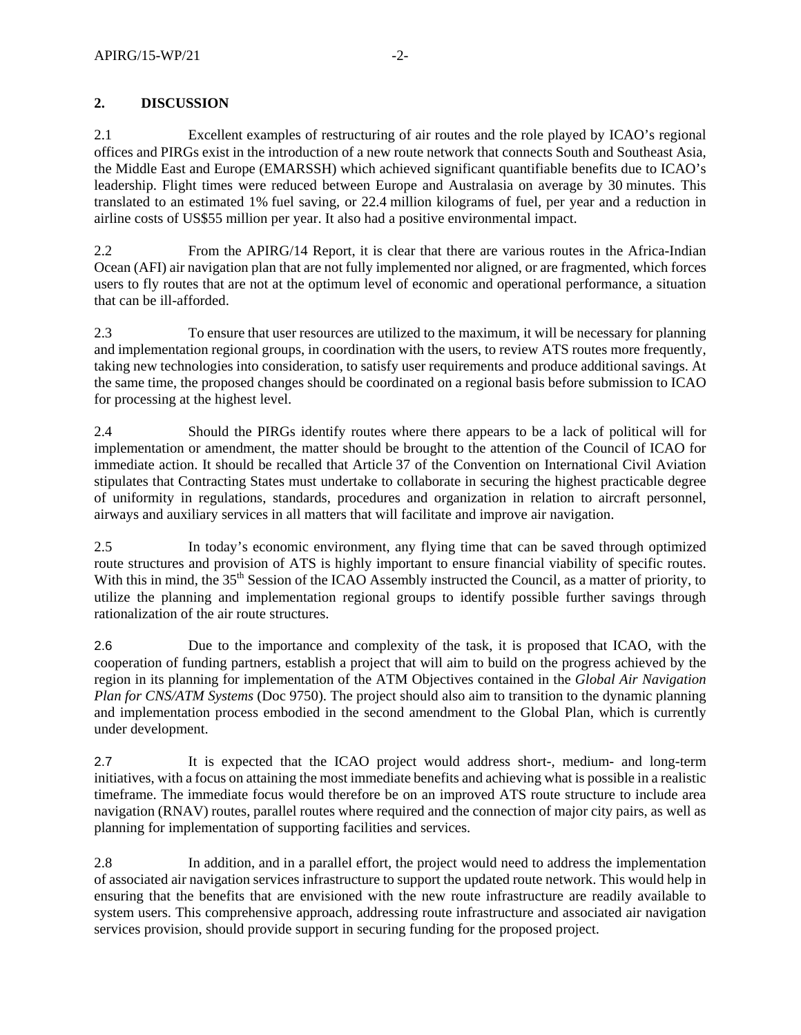# **2. DISCUSSION**

2.1 Excellent examples of restructuring of air routes and the role played by ICAO's regional offices and PIRGs exist in the introduction of a new route network that connects South and Southeast Asia, the Middle East and Europe (EMARSSH) which achieved significant quantifiable benefits due to ICAO's leadership. Flight times were reduced between Europe and Australasia on average by 30 minutes. This translated to an estimated 1% fuel saving, or 22.4 million kilograms of fuel, per year and a reduction in airline costs of US\$55 million per year. It also had a positive environmental impact.

2.2 From the APIRG/14 Report, it is clear that there are various routes in the Africa-Indian Ocean (AFI) air navigation plan that are not fully implemented nor aligned, or are fragmented, which forces users to fly routes that are not at the optimum level of economic and operational performance, a situation that can be ill-afforded.

2.3 To ensure that user resources are utilized to the maximum, it will be necessary for planning and implementation regional groups, in coordination with the users, to review ATS routes more frequently, taking new technologies into consideration, to satisfy user requirements and produce additional savings. At the same time, the proposed changes should be coordinated on a regional basis before submission to ICAO for processing at the highest level.

2.4 Should the PIRGs identify routes where there appears to be a lack of political will for implementation or amendment, the matter should be brought to the attention of the Council of ICAO for immediate action. It should be recalled that Article 37 of the Convention on International Civil Aviation stipulates that Contracting States must undertake to collaborate in securing the highest practicable degree of uniformity in regulations, standards, procedures and organization in relation to aircraft personnel, airways and auxiliary services in all matters that will facilitate and improve air navigation.

2.5 In today's economic environment, any flying time that can be saved through optimized route structures and provision of ATS is highly important to ensure financial viability of specific routes. With this in mind, the 35<sup>th</sup> Session of the ICAO Assembly instructed the Council, as a matter of priority, to utilize the planning and implementation regional groups to identify possible further savings through rationalization of the air route structures.

2.6 Due to the importance and complexity of the task, it is proposed that ICAO, with the cooperation of funding partners, establish a project that will aim to build on the progress achieved by the region in its planning for implementation of the ATM Objectives contained in the *Global Air Navigation Plan for CNS/ATM Systems* (Doc 9750). The project should also aim to transition to the dynamic planning and implementation process embodied in the second amendment to the Global Plan, which is currently under development.

2.7 It is expected that the ICAO project would address short-, medium- and long-term initiatives, with a focus on attaining the most immediate benefits and achieving what is possible in a realistic timeframe. The immediate focus would therefore be on an improved ATS route structure to include area navigation (RNAV) routes, parallel routes where required and the connection of major city pairs, as well as planning for implementation of supporting facilities and services.

2.8 In addition, and in a parallel effort, the project would need to address the implementation of associated air navigation services infrastructure to support the updated route network. This would help in ensuring that the benefits that are envisioned with the new route infrastructure are readily available to system users. This comprehensive approach, addressing route infrastructure and associated air navigation services provision, should provide support in securing funding for the proposed project.